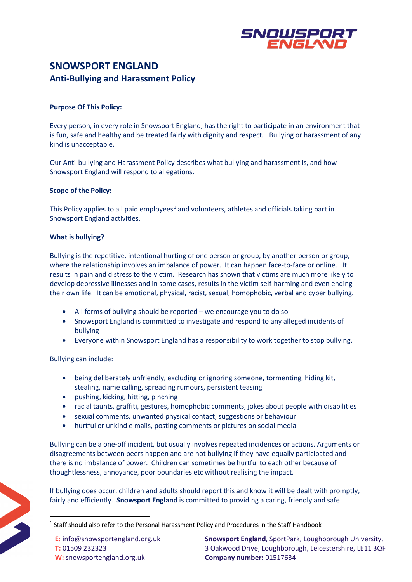

# **SNOWSPORT ENGLAND Anti-Bullying and Harassment Policy**

## **Purpose Of This Policy:**

Every person, in every role in Snowsport England, has the right to participate in an environment that is fun, safe and healthy and be treated fairly with dignity and respect. Bullying or harassment of any kind is unacceptable.

Our Anti-bullying and Harassment Policy describes what bullying and harassment is, and how Snowsport England will respond to allegations.

## **Scope of the Policy:**

This Policy applies to all paid employees<sup>[1](#page-0-0)</sup> and volunteers, athletes and officials taking part in Snowsport England activities.

## **What is bullying?**

Bullying is the repetitive, intentional hurting of one person or group, by another person or group, where the relationship involves an imbalance of power. It can happen face-to-face or online. It results in pain and distress to the victim. Research has shown that victims are much more likely to develop depressive illnesses and in some cases, results in the victim self-harming and even ending their own life. It can be emotional, physical, racist, sexual, homophobic, verbal and cyber bullying.

- All forms of bullying should be reported we encourage you to do so
- Snowsport England is committed to investigate and respond to any alleged incidents of bullying
- Everyone within Snowsport England has a responsibility to work together to stop bullying.

Bullying can include:

- being deliberately unfriendly, excluding or ignoring someone, tormenting, hiding kit, stealing, name calling, spreading rumours, persistent teasing
- pushing, kicking, hitting, pinching
- racial taunts, graffiti, gestures, homophobic comments, jokes about people with disabilities
- sexual comments, unwanted physical contact, suggestions or behaviour
- hurtful or unkind e mails, posting comments or pictures on social media

Bullying can be a one-off incident, but usually involves repeated incidences or actions. Arguments or disagreements between peers happen and are not bullying if they have equally participated and there is no imbalance of power. Children can sometimes be hurtful to each other because of thoughtlessness, annoyance, poor boundaries etc without realising the impact.

If bullying does occur, children and adults should report this and know it will be dealt with promptly, fairly and efficiently. **Snowsport England** is committed to providing a caring, friendly and safe

<span id="page-0-0"></span><sup>&</sup>lt;sup>1</sup> Staff should also refer to the Personal Harassment Policy and Procedures in the Staff Handbook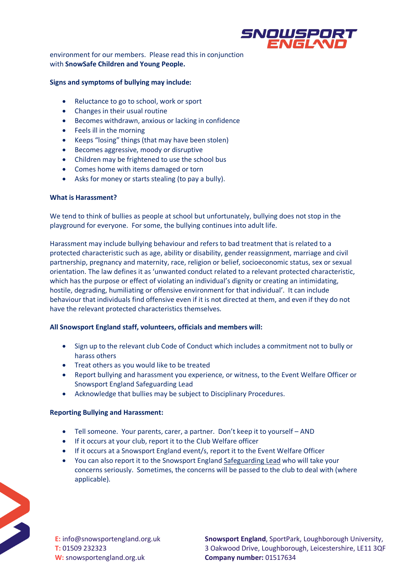

environment for our members. Please read this in conjunction with **SnowSafe Children and Young People.**

### **Signs and symptoms of bullying may include:**

- Reluctance to go to school, work or sport
- Changes in their usual routine
- Becomes withdrawn, anxious or lacking in confidence
- Feels ill in the morning
- Keeps "losing" things (that may have been stolen)
- Becomes aggressive, moody or disruptive
- Children may be frightened to use the school bus
- Comes home with items damaged or torn
- Asks for money or starts stealing (to pay a bully).

#### **What is Harassment?**

We tend to think of bullies as people at school but unfortunately, bullying does not stop in the playground for everyone. For some, the bullying continues into adult life.

Harassment may include bullying behaviour and refers to bad treatment that is related to a protected characteristic such as age, ability or disability, gender reassignment, marriage and civil partnership, pregnancy and maternity, race, religion or belief, socioeconomic status, sex or sexual orientation. The law defines it as 'unwanted conduct related to a relevant protected characteristic, which has the purpose or effect of violating an individual's dignity or creating an intimidating, hostile, degrading, humiliating or offensive environment for that individual'. It can include behaviour that individuals find offensive even if it is not directed at them, and even if they do not have the relevant protected characteristics themselves.

### **All Snowsport England staff, volunteers, officials and members will:**

- Sign up to the relevant club Code of Conduct which includes a commitment not to bully or harass others
- Treat others as you would like to be treated
- Report bullying and harassment you experience, or witness, to the Event Welfare Officer or Snowsport England Safeguarding Lead
- Acknowledge that bullies may be subject to Disciplinary Procedures.

### **Reporting Bullying and Harassment:**

- Tell someone. Your parents, carer, a partner. Don't keep it to yourself AND
- If it occurs at your club, report it to the Club Welfare officer
- If it occurs at a Snowsport England event/s, report it to the Event Welfare Officer
- You can also report it to the Snowsport Englan[d Safeguarding Lead](mailto:welfare@snowsportengland.org.uk?subject=Bullying) who will take your concerns seriously. Sometimes, the concerns will be passed to the club to deal with (where applicable).



**E:** info@snowsportengland.org.uk **T:** 01509 232323 **W:** snowsportengland.org.uk

**Snowsport England**, SportPark, Loughborough University, 3 Oakwood Drive, Loughborough, Leicestershire, LE11 3QF **Company number:** 01517634